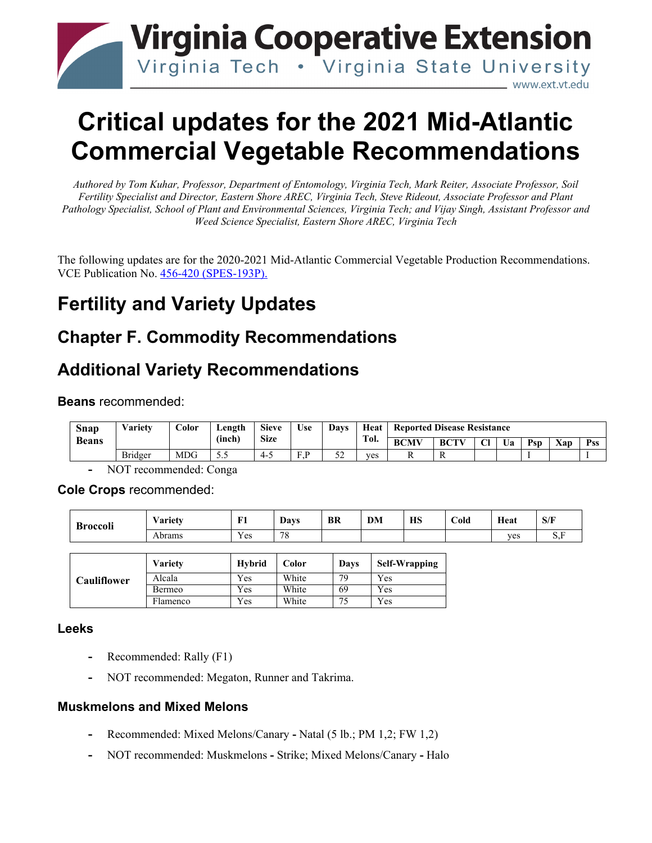

# **Critical updates for the 2021 Mid-Atlantic Commercial Vegetable Recommendations**

*Authored by Tom Kuhar, Professor, Department of Entomology, Virginia Tech, Mark Reiter, Associate Professor, Soil Fertility Specialist and Director, Eastern Shore AREC, Virginia Tech, Steve Rideout, Associate Professor and Plant Pathology Specialist, School of Plant and Environmental Sciences, Virginia Tech; and Vijay Singh, Assistant Professor and Weed Science Specialist, Eastern Shore AREC, Virginia Tech*

The following updates are for the 2020-2021 Mid-Atlantic Commercial Vegetable Production Recommendations. VCE Publication No. [456-420 \(SPES-193P\).](https://resources.ext.vt.edu/contentdetail?contentid=2379&contentname=2020-2021%20Mid-Atlantic%20Commercial%20Vegetable%20Production%20Recommendations)

# **Fertility and Variety Updates**

### **Chapter F. Commodity Recommendations**

### **Additional Variety Recommendations**

**Beans** recommended:

| Snap         | <b>Variety</b> | $\overline{\text{color}}$ | Length | <b>Sieve</b> | <b>Use</b> | <b>Davs</b>   | Heat | <b>Reported Disease Resistance</b> |             |        |    |     |     |            |
|--------------|----------------|---------------------------|--------|--------------|------------|---------------|------|------------------------------------|-------------|--------|----|-----|-----|------------|
| <b>Beans</b> |                |                           | (inch) | <b>Size</b>  |            |               | Tol. | <b>BCMV</b>                        | <b>BCTV</b> | $\sim$ | Ua | Psp | Xap | <b>Pss</b> |
|              | Bridger        | MDG                       | ن و ر  | -4-5         | F P<br>.   | $\sim$<br>ے ر | ves  |                                    | R           |        |    |     |     |            |

**-** NOT recommended: Conga

**Cole Crops** recommended:

| <b>Broccoli</b> | $\mathbf{v}$<br>⁄ arietv | $\mathbf{E}^{\star}$ | <b>Days</b> | <b>BR</b> | <b>DM</b> | <b>HS</b> | $\sim$<br>Cold | Heat | S/F |
|-----------------|--------------------------|----------------------|-------------|-----------|-----------|-----------|----------------|------|-----|
|                 | Abrams                   | $ -$<br>Y es         | 70<br>٬ο    |           |           |           |                | ves  | ້   |

|                    | <b>Variety</b> | <b>Hybrid</b> | Color | Davs | <b>Self-Wrapping</b> |
|--------------------|----------------|---------------|-------|------|----------------------|
| <b>Cauliflower</b> | Alcala         | Yes           | White | 79   | Yes                  |
|                    | Bermeo         | Yes           | White | 69   | Yes                  |
|                    | Flamenco       | Yes           | White | 74   | Yes                  |

#### **Leeks**

- **-** Recommended: Rally (F1)
- **-** NOT recommended: Megaton, Runner and Takrima.

#### **Muskmelons and Mixed Melons**

- **-** Recommended: Mixed Melons/Canary Natal (5 lb.; PM 1,2; FW 1,2)
- **-** NOT recommended: Muskmelons Strike; Mixed Melons/Canary Halo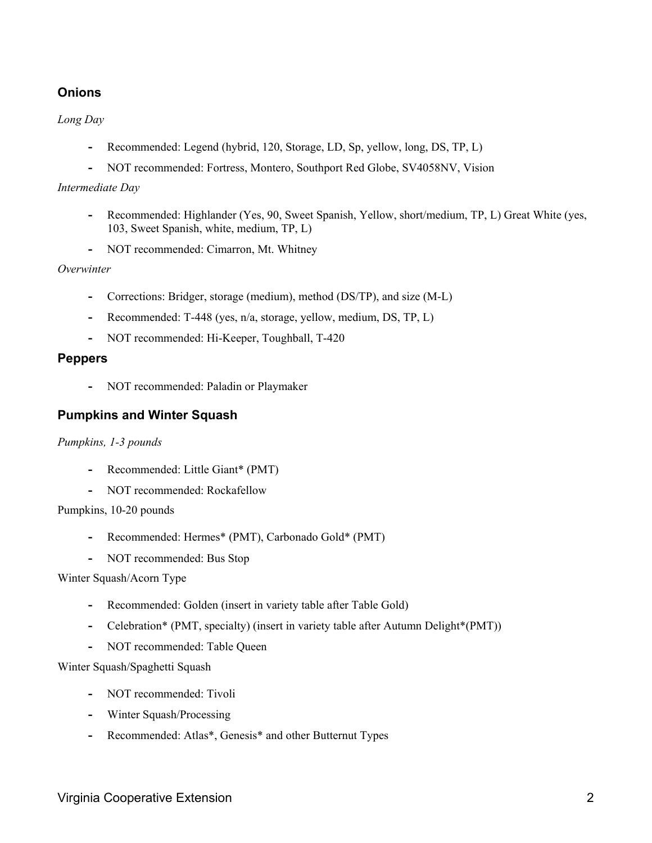#### **Onions**

*Long Day*

- **-** Recommended: Legend (hybrid, 120, Storage, LD, Sp, yellow, long, DS, TP, L)
- **-** NOT recommended: Fortress, Montero, Southport Red Globe, SV4058NV, Vision

#### *Intermediate Day*

- **-** Recommended: Highlander (Yes, 90, Sweet Spanish, Yellow, short/medium, TP, L) Great White (yes, 103, Sweet Spanish, white, medium, TP, L)
- **-** NOT recommended: Cimarron, Mt. Whitney

#### *Overwinter*

- **-** Corrections: Bridger, storage (medium), method (DS/TP), and size (M-L)
- **-** Recommended: T-448 (yes, n/a, storage, yellow, medium, DS, TP, L)
- **-** NOT recommended: Hi-Keeper, Toughball, T-420

#### **Peppers**

**-** NOT recommended: Paladin or Playmaker

#### **Pumpkins and Winter Squash**

#### *Pumpkins, 1-3 pounds*

- **-** Recommended: Little Giant\* (PMT)
- **-** NOT recommended: Rockafellow

#### Pumpkins, 10-20 pounds

- **-** Recommended: Hermes\* (PMT), Carbonado Gold\* (PMT)
- **-** NOT recommended: Bus Stop

#### Winter Squash/Acorn Type

- **-** Recommended: Golden (insert in variety table after Table Gold)
- **-** Celebration\* (PMT, specialty) (insert in variety table after Autumn Delight\*(PMT))
- **-** NOT recommended: Table Queen

#### Winter Squash/Spaghetti Squash

- **-** NOT recommended: Tivoli
- **-** Winter Squash/Processing
- **-** Recommended: Atlas\*, Genesis\* and other Butternut Types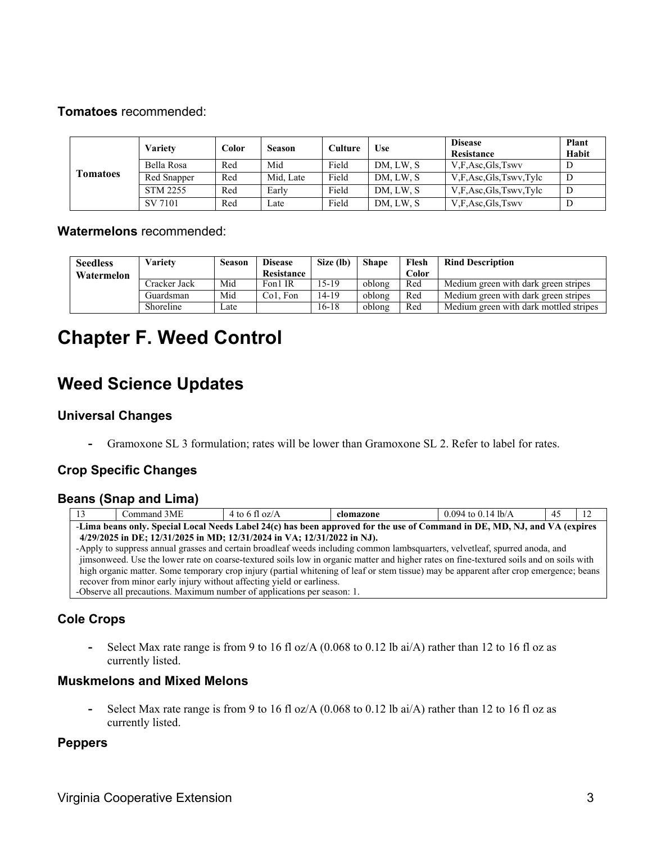#### **Tomatoes** recommended:

|                 | Varietv         | Color | <b>Season</b> | Culture | Use       | <b>Disease</b><br>Resistance | <b>Plant</b><br>Habit |
|-----------------|-----------------|-------|---------------|---------|-----------|------------------------------|-----------------------|
|                 | Bella Rosa      | Red   | Mid           | Field   | DM, LW, S | V,F,Asc,Gls,Tswv             |                       |
| <b>Tomatoes</b> | Red Snapper     | Red   | Mid, Late     | Field   | DM, LW, S | V.F.Asc.Gls.Tswv.Tylc        | D                     |
|                 | <b>STM 2255</b> | Red   | Early         | Field   | DM, LW, S | V.F.Asc.Gls.Tswv.Tylc        | D                     |
|                 | SV 7101         | Red   | Late          | Field   | DM, LW, S | V.F.Asc.Gls.Tswv             | D                     |

#### **Watermelons** recommended:

| <b>Seedless</b> | Varietv      | Season | <b>Disease</b>        | Size (lb) | <b>Shape</b> | Flesh | <b>Rind Description</b>                |
|-----------------|--------------|--------|-----------------------|-----------|--------------|-------|----------------------------------------|
| Watermelon      |              |        | Resistance            |           |              | Color |                                        |
|                 | Cracker Jack | Mid    | Fon1 IR               | $15-19$   | oblong       | Red   | Medium green with dark green stripes   |
|                 | Guardsman    | Mid    | Co <sub>1</sub> . Fon | $14 - 19$ | oblong       | Red   | Medium green with dark green stripes   |
|                 | Shoreline    | Late   |                       | $16-18$   | oblong       | Red   | Medium green with dark mottled stripes |

# **Chapter F. Weed Control**

### **Weed Science Updates**

#### **Universal Changes**

**-** Gramoxone SL 3 formulation; rates will be lower than Gramoxone SL 2. Refer to label for rates.

#### **Crop Specific Changes**

#### **Beans (Snap and Lima)**

| Command 3ME                                                                                                               | 4 to 6 fl oz/ $\overline{A}$                                            | clomazone | $0.094$ to 0.14 lb/A                                                                                                                    | 45 |  |  |  |  |
|---------------------------------------------------------------------------------------------------------------------------|-------------------------------------------------------------------------|-----------|-----------------------------------------------------------------------------------------------------------------------------------------|----|--|--|--|--|
| -Lima beans only. Special Local Needs Label 24(c) has been approved for the use of Command in DE, MD, NJ, and VA (expires |                                                                         |           |                                                                                                                                         |    |  |  |  |  |
|                                                                                                                           | 4/29/2025 in DE; 12/31/2025 in MD; 12/31/2024 in VA; 12/31/2022 in NJ). |           |                                                                                                                                         |    |  |  |  |  |
|                                                                                                                           |                                                                         |           | -Apply to suppress annual grasses and certain broadleaf weeds including common lambsquarters, velvetleaf, spurred anoda, and            |    |  |  |  |  |
|                                                                                                                           |                                                                         |           | jimsonweed. Use the lower rate on coarse-textured soils low in organic matter and higher rates on fine-textured soils and on soils with |    |  |  |  |  |
|                                                                                                                           |                                                                         |           | high organic matter. Some temporary crop injury (partial whitening of leaf or stem tissue) may be apparent after crop emergence; beans  |    |  |  |  |  |
|                                                                                                                           | recover from minor early injury without affecting yield or earliness.   |           |                                                                                                                                         |    |  |  |  |  |
|                                                                                                                           | -Observe all precautions. Maximum number of applications per season: 1. |           |                                                                                                                                         |    |  |  |  |  |

#### **Cole Crops**

**-** Select Max rate range is from 9 to 16 fl oz/A (0.068 to 0.12 lb ai/A) rather than 12 to 16 fl oz as currently listed.

#### **Muskmelons and Mixed Melons**

**-** Select Max rate range is from 9 to 16 fl oz/A (0.068 to 0.12 lb ai/A) rather than 12 to 16 fl oz as currently listed.

#### **Peppers**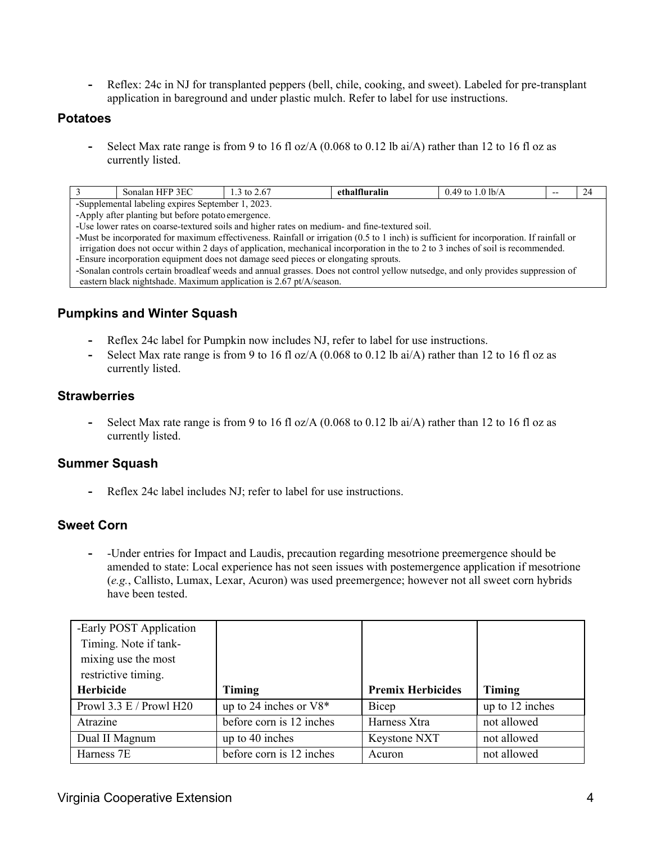**-** Reflex: 24c in NJ for transplanted peppers (bell, chile, cooking, and sweet). Labeled for pre-transplant application in bareground and under plastic mulch. Refer to label for use instructions.

#### **Potatoes**

**-** Select Max rate range is from 9 to 16 fl oz/A (0.068 to 0.12 lb ai/A) rather than 12 to 16 fl oz as currently listed.

| Sonalan HFP 3EC                                                                                                                                            | 1.3 to $2.67$ | ethalfluralin | 0.49 to 1.0 lb/A |  | 24 |
|------------------------------------------------------------------------------------------------------------------------------------------------------------|---------------|---------------|------------------|--|----|
| -Supplemental labeling expires September 1, 2023.                                                                                                          |               |               |                  |  |    |
| -Apply after planting but before potato emergence.                                                                                                         |               |               |                  |  |    |
| -Use lower rates on coarse-textured soils and higher rates on medium- and fine-textured soil.                                                              |               |               |                  |  |    |
| -Must be incorporated for maximum effectiveness. Rainfall or irrigation $(0.5 \text{ to } 1 \text{ inch})$ is sufficient for incorporation. If rainfall or |               |               |                  |  |    |
| irrigation does not occur within 2 days of application, mechanical incorporation in the to 2 to 3 inches of soil is recommended.                           |               |               |                  |  |    |

-Ensure incorporation equipment does not damage seed pieces or elongating sprouts. -Sonalan controls certain broadleaf weeds and annual grasses. Does not control yellow nutsedge, and only provides suppression of

eastern black nightshade. Maximum application is 2.67 pt/A/season.

#### **Pumpkins and Winter Squash**

- **-** Reflex 24c label for Pumpkin now includes NJ, refer to label for use instructions.
- **-** Select Max rate range is from 9 to 16 fl oz/A (0.068 to 0.12 lb ai/A) rather than 12 to 16 fl oz as currently listed.

#### **Strawberries**

**-** Select Max rate range is from 9 to 16 fl oz/A (0.068 to 0.12 lb ai/A) rather than 12 to 16 fl oz as currently listed.

#### **Summer Squash**

**-** Reflex 24c label includes NJ; refer to label for use instructions.

#### **Sweet Corn**

**-** -Under entries for Impact and Laudis, precaution regarding mesotrione preemergence should be amended to state: Local experience has not seen issues with postemergence application if mesotrione (*e.g.*, Callisto, Lumax, Lexar, Acuron) was used preemergence; however not all sweet corn hybrids have been tested.

| -Early POST Application |                          |                          |                 |
|-------------------------|--------------------------|--------------------------|-----------------|
| Timing. Note if tank-   |                          |                          |                 |
| mixing use the most     |                          |                          |                 |
| restrictive timing.     |                          |                          |                 |
| Herbicide               | Timing                   | <b>Premix Herbicides</b> | Timing          |
| Prowl 3.3 E / Prowl H20 |                          |                          |                 |
|                         | up to 24 inches or $V8*$ | Bicep                    | up to 12 inches |
| Atrazine                | before corn is 12 inches | Harness Xtra             | not allowed     |
| Dual II Magnum          | up to 40 inches          | Keystone NXT             | not allowed     |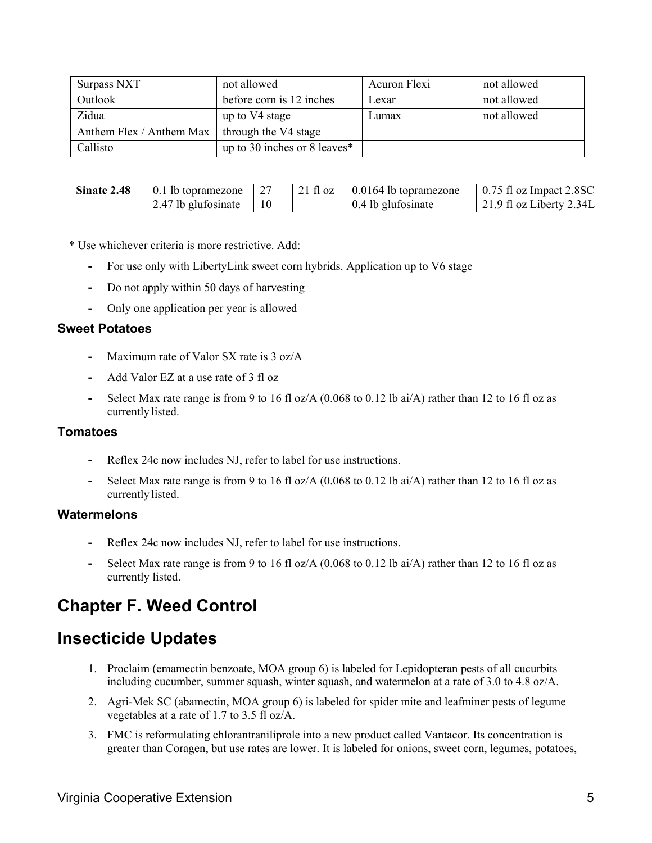| Surpass NXT              | not allowed                  | Acuron Flexi | not allowed |
|--------------------------|------------------------------|--------------|-------------|
| Outlook                  | before corn is 12 inches     | Lexar        | not allowed |
| Zidua                    | up to V4 stage               | Lumax        | not allowed |
| Anthem Flex / Anthem Max | through the V4 stage         |              |             |
| Callisto                 | up to 30 inches or 8 leaves* |              |             |

| Sinate 2.48 | I lb topramezone    | $\sim$<br>∼ | $21 \text{ fl oz}$ | $0.0164$ lb topramezone | $0.75$ fl oz Impact 2.8SC |
|-------------|---------------------|-------------|--------------------|-------------------------|---------------------------|
|             | 2.47 lb glufosinate | 10          |                    | 0.4 lb glufosinate      | 21.9 fl oz Liberty 2.34L  |

\* Use whichever criteria is more restrictive. Add:

- **-** For use only with LibertyLink sweet corn hybrids. Application up to V6 stage
- **-** Do not apply within 50 days of harvesting
- **-** Only one application per year is allowed

#### **Sweet Potatoes**

- **-** Maximum rate of Valor SX rate is 3 oz/A
- **-** Add Valor EZ at a use rate of 3 fl oz
- **-** Select Max rate range is from 9 to 16 fl oz/A (0.068 to 0.12 lb ai/A) rather than 12 to 16 fl oz as currently listed.

#### **Tomatoes**

- **-** Reflex 24c now includes NJ, refer to label for use instructions.
- **-** Select Max rate range is from 9 to 16 fl oz/A (0.068 to 0.12 lb ai/A) rather than 12 to 16 fl oz as currently listed.

#### **Watermelons**

- **-** Reflex 24c now includes NJ, refer to label for use instructions.
- **-** Select Max rate range is from 9 to 16 fl oz/A (0.068 to 0.12 lb ai/A) rather than 12 to 16 fl oz as currently listed.

### **Chapter F. Weed Control**

### **Insecticide Updates**

- 1. Proclaim (emamectin benzoate, MOA group 6) is labeled for Lepidopteran pests of all cucurbits including cucumber, summer squash, winter squash, and watermelon at a rate of 3.0 to 4.8 oz/A.
- 2. Agri-Mek SC (abamectin, MOA group 6) is labeled for spider mite and leafminer pests of legume vegetables at a rate of 1.7 to 3.5 fl oz/A.
- 3. FMC is reformulating chlorantraniliprole into a new product called Vantacor. Its concentration is greater than Coragen, but use rates are lower. It is labeled for onions, sweet corn, legumes, potatoes,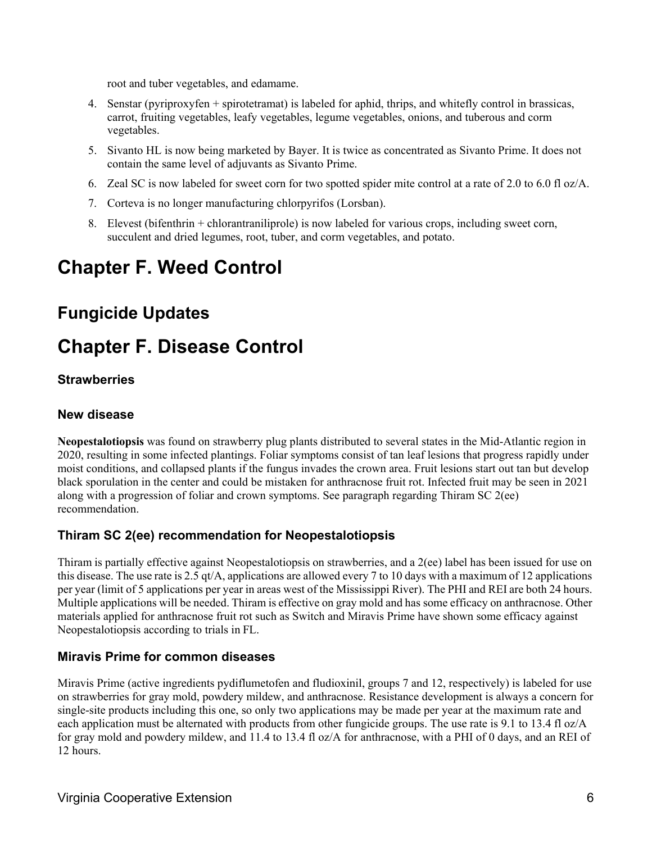root and tuber vegetables, and edamame.

- 4. Senstar (pyriproxyfen + spirotetramat) is labeled for aphid, thrips, and whitefly control in brassicas, carrot, fruiting vegetables, leafy vegetables, legume vegetables, onions, and tuberous and corm vegetables.
- 5. Sivanto HL is now being marketed by Bayer. It is twice as concentrated as Sivanto Prime. It does not contain the same level of adjuvants as Sivanto Prime.
- 6. Zeal SC is now labeled for sweet corn for two spotted spider mite control at a rate of 2.0 to 6.0 fl oz/A.
- 7. Corteva is no longer manufacturing chlorpyrifos (Lorsban).
- 8. Elevest (bifenthrin + chlorantraniliprole) is now labeled for various crops, including sweet corn, succulent and dried legumes, root, tuber, and corm vegetables, and potato.

# **Chapter F. Weed Control**

### **Fungicide Updates**

## **Chapter F. Disease Control**

#### **Strawberries**

#### **New disease**

**Neopestalotiopsis** was found on strawberry plug plants distributed to several states in the Mid-Atlantic region in 2020, resulting in some infected plantings. Foliar symptoms consist of tan leaf lesions that progress rapidly under moist conditions, and collapsed plants if the fungus invades the crown area. Fruit lesions start out tan but develop black sporulation in the center and could be mistaken for anthracnose fruit rot. Infected fruit may be seen in 2021 along with a progression of foliar and crown symptoms. See paragraph regarding Thiram SC 2(ee) recommendation.

#### **Thiram SC 2(ee) recommendation for Neopestalotiopsis**

Thiram is partially effective against Neopestalotiopsis on strawberries, and a 2(ee) label has been issued for use on this disease. The use rate is 2.5 qt/A, applications are allowed every 7 to 10 days with a maximum of 12 applications per year (limit of 5 applications per year in areas west of the Mississippi River). The PHI and REI are both 24 hours. Multiple applications will be needed. Thiram is effective on gray mold and has some efficacy on anthracnose. Other materials applied for anthracnose fruit rot such as Switch and Miravis Prime have shown some efficacy against Neopestalotiopsis according to trials in FL.

#### **Miravis Prime for common diseases**

Miravis Prime (active ingredients pydiflumetofen and fludioxinil, groups 7 and 12, respectively) is labeled for use on strawberries for gray mold, powdery mildew, and anthracnose. Resistance development is always a concern for single-site products including this one, so only two applications may be made per year at the maximum rate and each application must be alternated with products from other fungicide groups. The use rate is 9.1 to 13.4 fl oz/A for gray mold and powdery mildew, and 11.4 to 13.4 fl oz/A for anthracnose, with a PHI of 0 days, and an REI of 12 hours.